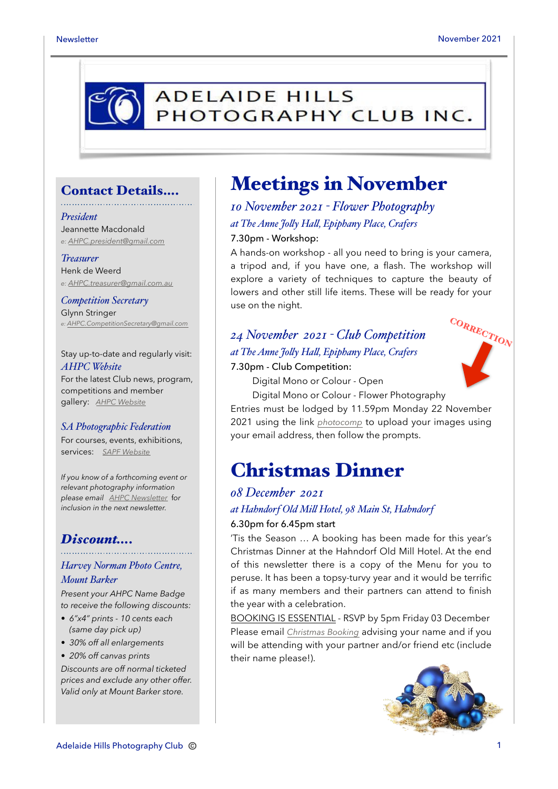

### Contact Details….

#### *President*

Jeannette Macdonald *e: [AHPC.president@gmail.com](mailto:AHPC.president@gmail.com)*

#### *Treasurer*

Henk de Weerd *e: [AHPC.treasurer@gmail.com.au](mailto:AHPC.treasurer@gmail.com.au)*

*Competition Secretary* Glynn Stringer *e: [AHPC.CompetitionSecretary@gmail.com](mailto:AHPC.CompetitionSecretary@gmail.com)*

Stay up-to-date and regularly visit: *AHPC Website* For the latest Club news, program, competitions and member gallery: *[AHPC Website](http://www.adelaidehillsphotographyclub.com.au)*

#### *SA Photographic Federation*

For courses, events, exhibitions, services: *[SAPF Website](https://www.sapf.org.au)*

*If you know of a forthcoming event or relevant photography information please email [AHPC Newsletter](mailto:AHPC.newsletter@gmail.com)* f*or inclusion in the next newsletter.* 

### *Discount….*

### *Harvey Norman Photo Centre, Mount Barker*

*Present your AHPC Name Badge to receive the following discounts:* 

- *6"x4" prints 10 cents each (same day pick up)*
- *30% off all enlargements*
- *20% off canvas prints*

*Discounts are off normal ticketed prices and exclude any other offer. Valid only at Mount Barker store.*

# Meetings in November

*10 November 2021 - Flower Photography at The Anne Jo"y Ha", Epiphany Place, Crafers* 7.30pm - Workshop:

A hands-on workshop - all you need to bring is your camera, a tripod and, if you have one, a flash. The workshop will explore a variety of techniques to capture the beauty of lowers and other still life items. These will be ready for your use on the night.

### *24 November 2021 - Club Competition at The Anne Jo"y Ha", Epiphany Place, Crafers*

#### 7.30pm - Club Competition:

Digital Mono or Colour - Open

CORRECTION

Digital Mono or Colour - Flower Photography

Entries must be lodged by 11.59pm Monday 22 November 2021 using the link *[photocomp](http://www.photocompentries.net/?org=AHPC)* to upload your images using your email address, then follow the prompts.

# Christmas Dinner

### *08 December 2021 at Hahndorf Old Mi" Hotel, 98 Main St, Hahndorf* 6.30pm for 6.45pm start

'Tis the Season … A booking has been made for this year's Christmas Dinner at the Hahndorf Old Mill Hotel. At the end of this newsletter there is a copy of the Menu for you to peruse. It has been a topsy-turvy year and it would be terrific if as many members and their partners can attend to finish the year with a celebration.

BOOKING IS ESSENTIAL - RSVP by 5pm Friday 03 December Please email *[Christmas Booking](mailto:ahpc.newsletter@gmail.com?subject=AHPC%20Christmas%20Dinner%20-%20booking)* advising your name and if you will be attending with your partner and/or friend etc (include their name please!).

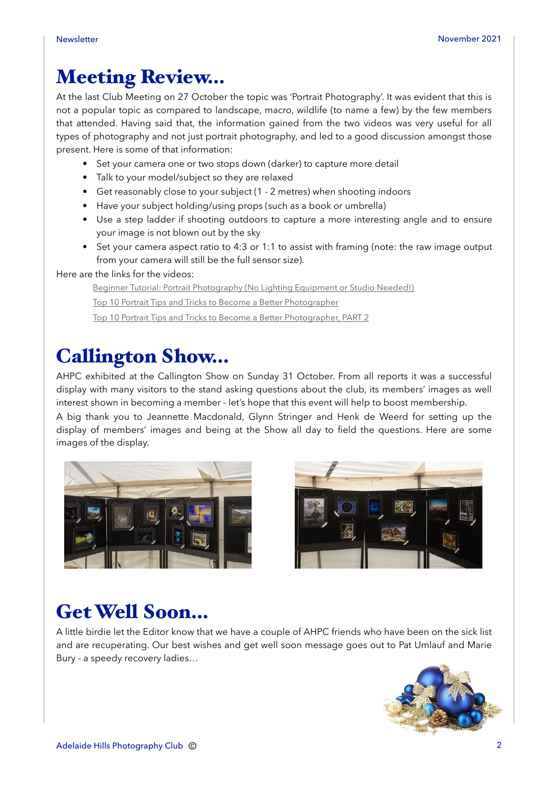# Meeting Review…

At the last Club Meeting on 27 October the topic was 'Portrait Photography'. It was evident that this is not a popular topic as compared to landscape, macro, wildlife (to name a few) by the few members that attended. Having said that, the information gained from the two videos was very useful for all types of photography and not just portrait photography, and led to a good discussion amongst those present. Here is some of that information:

- Set your camera one or two stops down (darker) to capture more detail
- Talk to your model/subject so they are relaxed
- Get reasonably close to your subject (1 2 metres) when shooting indoors
- Have your subject holding/using props (such as a book or umbrella)
- Use a step ladder if shooting outdoors to capture a more interesting angle and to ensure your image is not blown out by the sky
- Set your camera aspect ratio to 4:3 or 1:1 to assist with framing (note: the raw image output from your camera will still be the full sensor size).

Here are the links for the videos:

[Beginner Tutorial: Portrait Photography \(No Lighting Equipment or Studio Needed!\)](https://www.youtube.com/watch?v=ZAb4Afbo5bg)

[Top 10 Portrait Tips and Tricks to Become a Better Photographer](https://www.youtube.com/watch?v=2lleGP6mYHs)

[Top 10 Portrait Tips and Tricks to Become a Better Photographer, PART 2](https://www.youtube.com/watch?v=v4eCFqryR8Y)

# Callington Show…

AHPC exhibited at the Callington Show on Sunday 31 October. From all reports it was a successful display with many visitors to the stand asking questions about the club, its members' images as well interest shown in becoming a member - let's hope that this event will help to boost membership.

A big thank you to Jeannette Macdonald, Glynn Stringer and Henk de Weerd for setting up the display of members' images and being at the Show all day to field the questions. Here are some images of the display.





# Get Well Soon…

A little birdie let the Editor know that we have a couple of AHPC friends who have been on the sick list and are recuperating. Our best wishes and get well soon message goes out to Pat Umlauf and Marie Bury - a speedy recovery ladies…